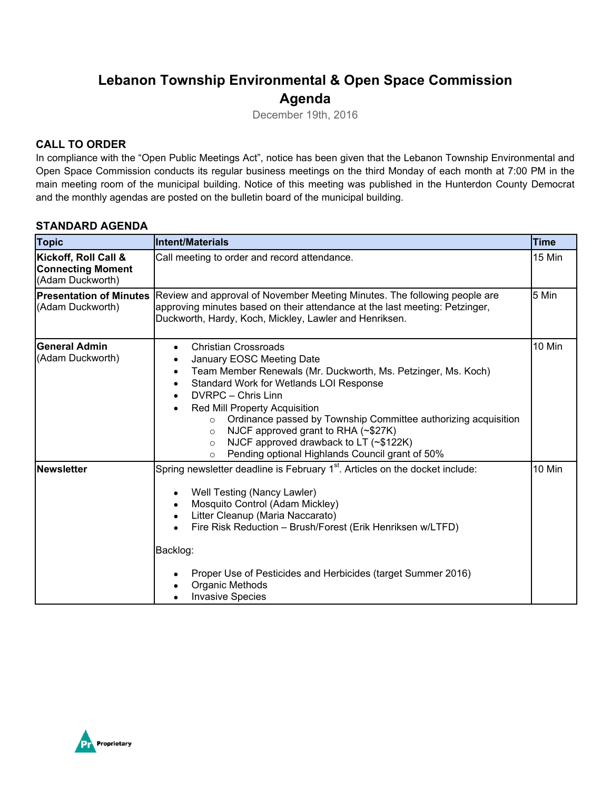# **Lebanon Township Environmental & Open Space Commission Agenda**

December 19th, 2016

## **CALL TO ORDER**

In compliance with the "Open Public Meetings Act", notice has been given that the Lebanon Township Environmental and Open Space Commission conducts its regular business meetings on the third Monday of each month at 7:00 PM in the main meeting room of the municipal building. Notice of this meeting was published in the Hunterdon County Democrat and the monthly agendas are posted on the bulletin board of the municipal building.

### **STANDARD AGENDA**

| <b>Topic</b>                                                         | Intent/Materials                                                                                                                                                                                                                                                                                                                                                                                                                                                                                                                                            | <b>Time</b> |  |
|----------------------------------------------------------------------|-------------------------------------------------------------------------------------------------------------------------------------------------------------------------------------------------------------------------------------------------------------------------------------------------------------------------------------------------------------------------------------------------------------------------------------------------------------------------------------------------------------------------------------------------------------|-------------|--|
| Kickoff, Roll Call &<br><b>Connecting Moment</b><br>(Adam Duckworth) | 15 Min<br>Call meeting to order and record attendance.                                                                                                                                                                                                                                                                                                                                                                                                                                                                                                      |             |  |
| <b>Presentation of Minutes</b><br>(Adam Duckworth)                   | Review and approval of November Meeting Minutes. The following people are<br>5 Min<br>approving minutes based on their attendance at the last meeting: Petzinger,<br>Duckworth, Hardy, Koch, Mickley, Lawler and Henriksen.                                                                                                                                                                                                                                                                                                                                 |             |  |
| <b>IGeneral Admin</b><br>(Adam Duckworth)                            | <b>Christian Crossroads</b><br>$\bullet$<br>January EOSC Meeting Date<br>$\bullet$<br>Team Member Renewals (Mr. Duckworth, Ms. Petzinger, Ms. Koch)<br>$\bullet$<br>Standard Work for Wetlands LOI Response<br>$\bullet$<br>DVRPC - Chris Linn<br>$\bullet$<br>Red Mill Property Acquisition<br>$\bullet$<br>Ordinance passed by Township Committee authorizing acquisition<br>$\circ$<br>NJCF approved grant to RHA (~\$27K)<br>$\circ$<br>NJCF approved drawback to LT (~\$122K)<br>$\circ$<br>Pending optional Highlands Council grant of 50%<br>$\circ$ | 10 Min      |  |
| <b>Newsletter</b>                                                    | Spring newsletter deadline is February 1 <sup>st</sup> . Articles on the docket include:<br>Well Testing (Nancy Lawler)<br>$\bullet$<br>Mosquito Control (Adam Mickley)<br>$\bullet$<br>Litter Cleanup (Maria Naccarato)<br>$\bullet$<br>Fire Risk Reduction - Brush/Forest (Erik Henriksen w/LTFD)<br>Backlog:<br>Proper Use of Pesticides and Herbicides (target Summer 2016)<br>$\bullet$<br>Organic Methods<br><b>Invasive Species</b>                                                                                                                  | 10 Min      |  |

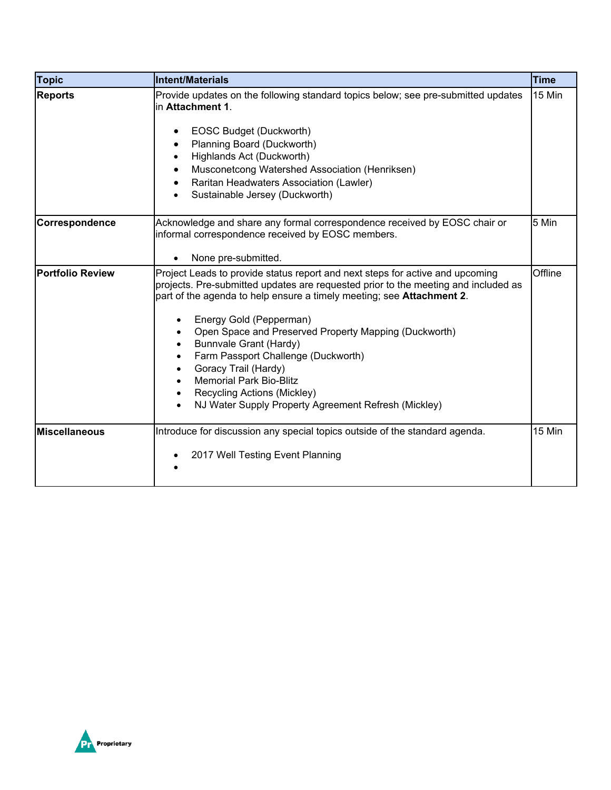| <b>Topic</b>            | Intent/Materials                                                                                                                                                                                                                                                                                                                                                                                                                                                                                                                                                                     | Time    |
|-------------------------|--------------------------------------------------------------------------------------------------------------------------------------------------------------------------------------------------------------------------------------------------------------------------------------------------------------------------------------------------------------------------------------------------------------------------------------------------------------------------------------------------------------------------------------------------------------------------------------|---------|
| <b>Reports</b>          | Provide updates on the following standard topics below; see pre-submitted updates<br>lin Attachment 1.<br>EOSC Budget (Duckworth)<br>Planning Board (Duckworth)<br>Highlands Act (Duckworth)<br>Musconetcong Watershed Association (Henriksen)<br>Raritan Headwaters Association (Lawler)<br>Sustainable Jersey (Duckworth)                                                                                                                                                                                                                                                          | 15 Min  |
| Correspondence          | Acknowledge and share any formal correspondence received by EOSC chair or<br>informal correspondence received by EOSC members.<br>None pre-submitted.                                                                                                                                                                                                                                                                                                                                                                                                                                | 5 Min   |
| <b>Portfolio Review</b> | Project Leads to provide status report and next steps for active and upcoming<br>projects. Pre-submitted updates are requested prior to the meeting and included as<br>part of the agenda to help ensure a timely meeting; see <b>Attachment 2</b> .<br>Energy Gold (Pepperman)<br>Open Space and Preserved Property Mapping (Duckworth)<br>Bunnvale Grant (Hardy)<br>Farm Passport Challenge (Duckworth)<br>$\bullet$<br>Goracy Trail (Hardy)<br><b>Memorial Park Bio-Blitz</b><br>Recycling Actions (Mickley)<br>$\bullet$<br>NJ Water Supply Property Agreement Refresh (Mickley) | Offline |
| <b>Miscellaneous</b>    | Introduce for discussion any special topics outside of the standard agenda.<br>2017 Well Testing Event Planning                                                                                                                                                                                                                                                                                                                                                                                                                                                                      | 15 Min  |

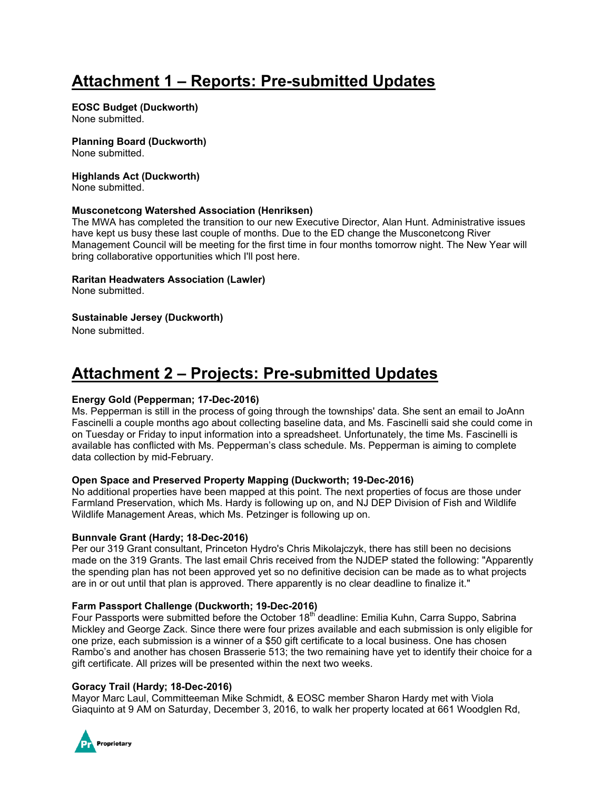# **Attachment 1 – Reports: Pre-submitted Updates**

#### **EOSC Budget (Duckworth)**

None submitted.

# **Planning Board (Duckworth)**

None submitted.

#### **Highlands Act (Duckworth)**

None submitted.

#### **Musconetcong Watershed Association (Henriksen)**

The MWA has completed the transition to our new Executive Director, Alan Hunt. Administrative issues have kept us busy these last couple of months. Due to the ED change the Musconetcong River Management Council will be meeting for the first time in four months tomorrow night. The New Year will bring collaborative opportunities which I'll post here.

#### **Raritan Headwaters Association (Lawler)**

None submitted.

### **Sustainable Jersey (Duckworth)**

None submitted.

# **Attachment 2 – Projects: Pre-submitted Updates**

#### **Energy Gold (Pepperman; 17-Dec-2016)**

Ms. Pepperman is still in the process of going through the townships' data. She sent an email to JoAnn Fascinelli a couple months ago about collecting baseline data, and Ms. Fascinelli said she could come in on Tuesday or Friday to input information into a spreadsheet. Unfortunately, the time Ms. Fascinelli is available has conflicted with Ms. Pepperman's class schedule. Ms. Pepperman is aiming to complete data collection by mid-February.

#### **Open Space and Preserved Property Mapping (Duckworth; 19-Dec-2016)**

No additional properties have been mapped at this point. The next properties of focus are those under Farmland Preservation, which Ms. Hardy is following up on, and NJ DEP Division of Fish and Wildlife Wildlife Management Areas, which Ms. Petzinger is following up on.

#### **Bunnvale Grant (Hardy; 18-Dec-2016)**

Per our 319 Grant consultant, Princeton Hydro's Chris Mikolajczyk, there has still been no decisions made on the 319 Grants. The last email Chris received from the NJDEP stated the following: "Apparently the spending plan has not been approved yet so no definitive decision can be made as to what projects are in or out until that plan is approved. There apparently is no clear deadline to finalize it."

#### **Farm Passport Challenge (Duckworth; 19-Dec-2016)**

Four Passports were submitted before the October 18<sup>th</sup> deadline: Emilia Kuhn, Carra Suppo, Sabrina Mickley and George Zack. Since there were four prizes available and each submission is only eligible for one prize, each submission is a winner of a \$50 gift certificate to a local business. One has chosen Rambo's and another has chosen Brasserie 513; the two remaining have yet to identify their choice for a gift certificate. All prizes will be presented within the next two weeks.

#### **Goracy Trail (Hardy; 18-Dec-2016)**

Mayor Marc Laul, Committeeman Mike Schmidt, & EOSC member Sharon Hardy met with Viola Giaquinto at 9 AM on Saturday, December 3, 2016, to walk her property located at 661 Woodglen Rd,

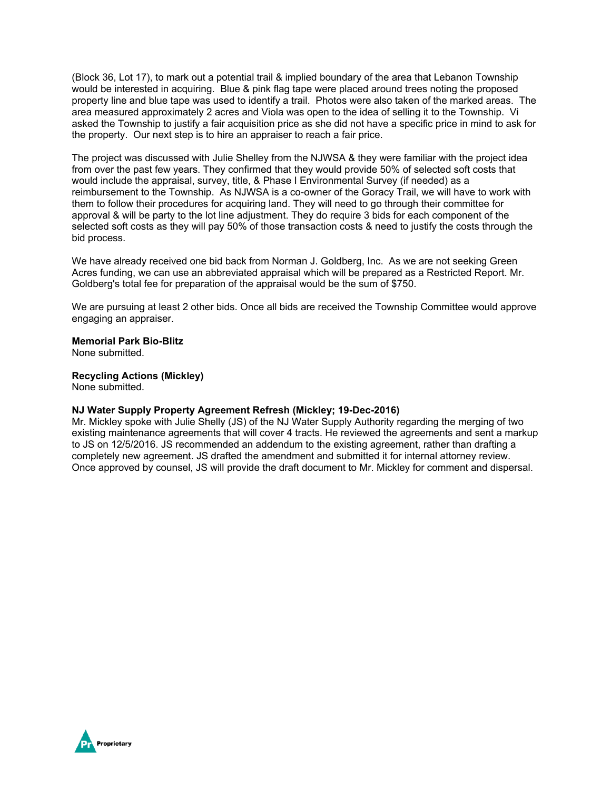(Block 36, Lot 17), to mark out a potential trail & implied boundary of the area that Lebanon Township would be interested in acquiring. Blue & pink flag tape were placed around trees noting the proposed property line and blue tape was used to identify a trail. Photos were also taken of the marked areas. The area measured approximately 2 acres and Viola was open to the idea of selling it to the Township. Vi asked the Township to justify a fair acquisition price as she did not have a specific price in mind to ask for the property. Our next step is to hire an appraiser to reach a fair price.

The project was discussed with Julie Shelley from the NJWSA & they were familiar with the project idea from over the past few years. They confirmed that they would provide 50% of selected soft costs that would include the appraisal, survey, title, & Phase I Environmental Survey (if needed) as a reimbursement to the Township. As NJWSA is a co-owner of the Goracy Trail, we will have to work with them to follow their procedures for acquiring land. They will need to go through their committee for approval & will be party to the lot line adjustment. They do require 3 bids for each component of the selected soft costs as they will pay 50% of those transaction costs & need to justify the costs through the bid process.

We have already received one bid back from Norman J. Goldberg, Inc. As we are not seeking Green Acres funding, we can use an abbreviated appraisal which will be prepared as a Restricted Report. Mr. Goldberg's total fee for preparation of the appraisal would be the sum of \$750.

We are pursuing at least 2 other bids. Once all bids are received the Township Committee would approve engaging an appraiser.

**Memorial Park Bio-Blitz**

None submitted.

#### **Recycling Actions (Mickley)**

None submitted.

#### **NJ Water Supply Property Agreement Refresh (Mickley; 19-Dec-2016)**

Mr. Mickley spoke with Julie Shelly (JS) of the NJ Water Supply Authority regarding the merging of two existing maintenance agreements that will cover 4 tracts. He reviewed the agreements and sent a markup to JS on 12/5/2016. JS recommended an addendum to the existing agreement, rather than drafting a completely new agreement. JS drafted the amendment and submitted it for internal attorney review. Once approved by counsel, JS will provide the draft document to Mr. Mickley for comment and dispersal.

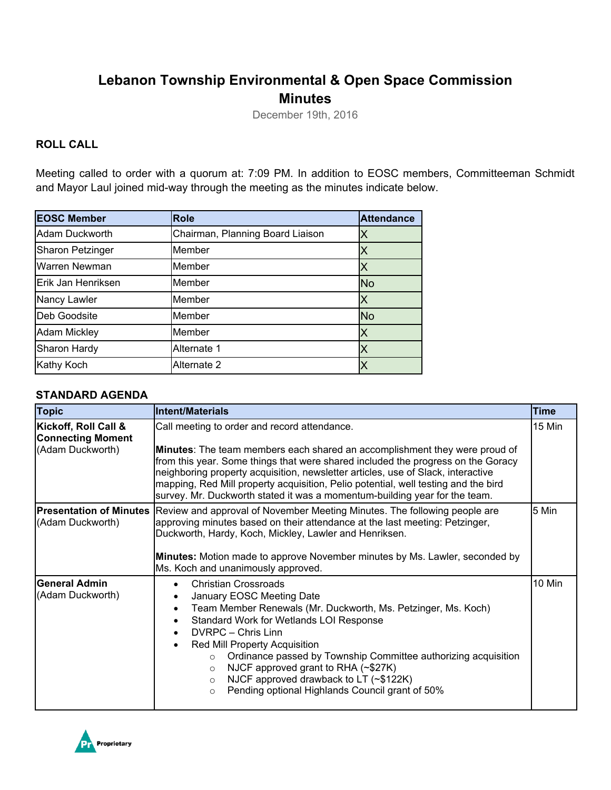# **Lebanon Township Environmental & Open Space Commission Minutes**

December 19th, 2016

## **ROLL CALL**

Meeting called to order with a quorum at: 7:09 PM. In addition to EOSC members, Committeeman Schmidt and Mayor Laul joined mid-way through the meeting as the minutes indicate below.

| <b>EOSC Member</b>      | <b>Role</b>                      | <b>Attendance</b> |
|-------------------------|----------------------------------|-------------------|
| Adam Duckworth          | Chairman, Planning Board Liaison | Χ                 |
| <b>Sharon Petzinger</b> | Member                           | Χ                 |
| Warren Newman           | Member                           | Χ                 |
| Erik Jan Henriksen      | Member                           | <b>No</b>         |
| Nancy Lawler            | Member                           |                   |
| Deb Goodsite            | Member                           | <b>No</b>         |
| <b>Adam Mickley</b>     | Member                           | X                 |
| Sharon Hardy            | Alternate 1                      | Χ                 |
| <b>Kathy Koch</b>       | Alternate 2                      |                   |

### **STANDARD AGENDA**

| <b>Topic</b>                                                         | <b>Intent/Materials</b>                                                                                                                                                                                                                                                                                                                                                                                                                                                                                                                                      | <b>Time</b> |  |
|----------------------------------------------------------------------|--------------------------------------------------------------------------------------------------------------------------------------------------------------------------------------------------------------------------------------------------------------------------------------------------------------------------------------------------------------------------------------------------------------------------------------------------------------------------------------------------------------------------------------------------------------|-------------|--|
| Kickoff, Roll Call &<br><b>Connecting Moment</b><br>(Adam Duckworth) | 15 Min<br>Call meeting to order and record attendance.<br>Minutes: The team members each shared an accomplishment they were proud of<br>from this year. Some things that were shared included the progress on the Goracy<br>neighboring property acquisition, newsletter articles, use of Slack, interactive<br>mapping, Red Mill property acquisition, Pelio potential, well testing and the bird<br>survey. Mr. Duckworth stated it was a momentum-building year for the team.                                                                             |             |  |
| <b>Presentation of Minutes</b><br>(Adam Duckworth)                   | Review and approval of November Meeting Minutes. The following people are<br>approving minutes based on their attendance at the last meeting: Petzinger,<br>Duckworth, Hardy, Koch, Mickley, Lawler and Henriksen.<br>Minutes: Motion made to approve November minutes by Ms. Lawler, seconded by<br>Ms. Koch and unanimously approved.                                                                                                                                                                                                                      | 5 Min       |  |
| <b>General Admin</b><br>(Adam Duckworth)                             | <b>Christian Crossroads</b><br>$\bullet$<br>January EOSC Meeting Date<br>$\bullet$<br>Team Member Renewals (Mr. Duckworth, Ms. Petzinger, Ms. Koch)<br>$\bullet$<br>Standard Work for Wetlands LOI Response<br>$\bullet$<br>DVRPC - Chris Linn<br>$\bullet$<br>Red Mill Property Acquisition<br>$\bullet$<br>Ordinance passed by Township Committee authorizing acquisition<br>$\circ$<br>NJCF approved grant to RHA (~\$27K)<br>$\Omega$<br>NJCF approved drawback to LT (~\$122K)<br>$\circ$<br>Pending optional Highlands Council grant of 50%<br>$\circ$ | 10 Min      |  |

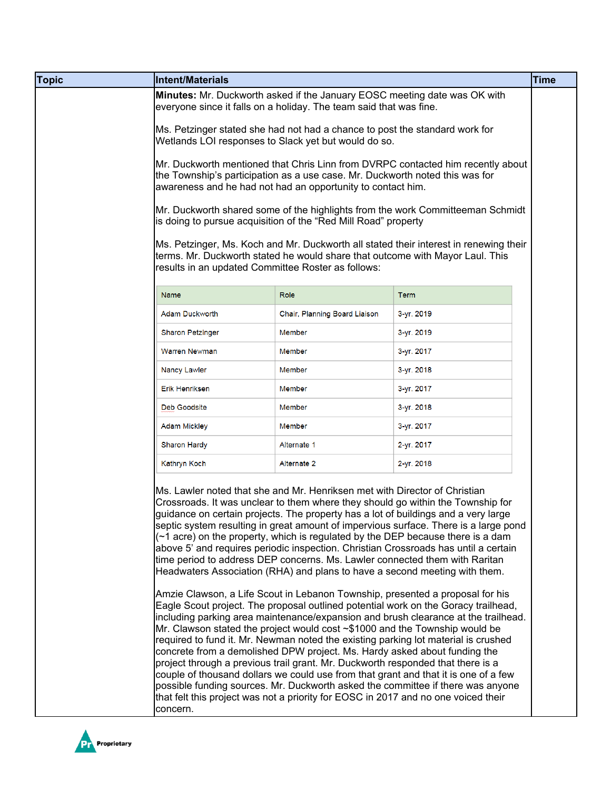| Minutes: Mr. Duckworth asked if the January EOSC meeting date was OK with<br>everyone since it falls on a holiday. The team said that was fine. |                               |                                                    |                                                                                                                                                                                                                                                                                                                                                                                                                                                                                                                                                                                                                                                                                                                                                                                                                                                                                                                                                                                                                                                                                                                                                                                                                                                                                                                                                                                                                                                                                                                                                                                                                                                                                                                                                                                                                                                                                                                                                                                                                                                                                                                                                                                                                                                                   |
|-------------------------------------------------------------------------------------------------------------------------------------------------|-------------------------------|----------------------------------------------------|-------------------------------------------------------------------------------------------------------------------------------------------------------------------------------------------------------------------------------------------------------------------------------------------------------------------------------------------------------------------------------------------------------------------------------------------------------------------------------------------------------------------------------------------------------------------------------------------------------------------------------------------------------------------------------------------------------------------------------------------------------------------------------------------------------------------------------------------------------------------------------------------------------------------------------------------------------------------------------------------------------------------------------------------------------------------------------------------------------------------------------------------------------------------------------------------------------------------------------------------------------------------------------------------------------------------------------------------------------------------------------------------------------------------------------------------------------------------------------------------------------------------------------------------------------------------------------------------------------------------------------------------------------------------------------------------------------------------------------------------------------------------------------------------------------------------------------------------------------------------------------------------------------------------------------------------------------------------------------------------------------------------------------------------------------------------------------------------------------------------------------------------------------------------------------------------------------------------------------------------------------------------|
|                                                                                                                                                 |                               |                                                    |                                                                                                                                                                                                                                                                                                                                                                                                                                                                                                                                                                                                                                                                                                                                                                                                                                                                                                                                                                                                                                                                                                                                                                                                                                                                                                                                                                                                                                                                                                                                                                                                                                                                                                                                                                                                                                                                                                                                                                                                                                                                                                                                                                                                                                                                   |
|                                                                                                                                                 |                               |                                                    |                                                                                                                                                                                                                                                                                                                                                                                                                                                                                                                                                                                                                                                                                                                                                                                                                                                                                                                                                                                                                                                                                                                                                                                                                                                                                                                                                                                                                                                                                                                                                                                                                                                                                                                                                                                                                                                                                                                                                                                                                                                                                                                                                                                                                                                                   |
|                                                                                                                                                 |                               |                                                    |                                                                                                                                                                                                                                                                                                                                                                                                                                                                                                                                                                                                                                                                                                                                                                                                                                                                                                                                                                                                                                                                                                                                                                                                                                                                                                                                                                                                                                                                                                                                                                                                                                                                                                                                                                                                                                                                                                                                                                                                                                                                                                                                                                                                                                                                   |
|                                                                                                                                                 |                               |                                                    |                                                                                                                                                                                                                                                                                                                                                                                                                                                                                                                                                                                                                                                                                                                                                                                                                                                                                                                                                                                                                                                                                                                                                                                                                                                                                                                                                                                                                                                                                                                                                                                                                                                                                                                                                                                                                                                                                                                                                                                                                                                                                                                                                                                                                                                                   |
| Name                                                                                                                                            | Role                          | <b>Term</b>                                        |                                                                                                                                                                                                                                                                                                                                                                                                                                                                                                                                                                                                                                                                                                                                                                                                                                                                                                                                                                                                                                                                                                                                                                                                                                                                                                                                                                                                                                                                                                                                                                                                                                                                                                                                                                                                                                                                                                                                                                                                                                                                                                                                                                                                                                                                   |
| <b>Adam Duckworth</b>                                                                                                                           | Chair, Planning Board Liaison | 3-yr. 2019                                         |                                                                                                                                                                                                                                                                                                                                                                                                                                                                                                                                                                                                                                                                                                                                                                                                                                                                                                                                                                                                                                                                                                                                                                                                                                                                                                                                                                                                                                                                                                                                                                                                                                                                                                                                                                                                                                                                                                                                                                                                                                                                                                                                                                                                                                                                   |
| <b>Sharon Petzinger</b>                                                                                                                         | Member                        | 3-yr. 2019                                         |                                                                                                                                                                                                                                                                                                                                                                                                                                                                                                                                                                                                                                                                                                                                                                                                                                                                                                                                                                                                                                                                                                                                                                                                                                                                                                                                                                                                                                                                                                                                                                                                                                                                                                                                                                                                                                                                                                                                                                                                                                                                                                                                                                                                                                                                   |
| <b>Warren Newman</b>                                                                                                                            | Member                        | 3-yr. 2017                                         |                                                                                                                                                                                                                                                                                                                                                                                                                                                                                                                                                                                                                                                                                                                                                                                                                                                                                                                                                                                                                                                                                                                                                                                                                                                                                                                                                                                                                                                                                                                                                                                                                                                                                                                                                                                                                                                                                                                                                                                                                                                                                                                                                                                                                                                                   |
| Nancy Lawler                                                                                                                                    | Member                        | 3-yr. 2018                                         |                                                                                                                                                                                                                                                                                                                                                                                                                                                                                                                                                                                                                                                                                                                                                                                                                                                                                                                                                                                                                                                                                                                                                                                                                                                                                                                                                                                                                                                                                                                                                                                                                                                                                                                                                                                                                                                                                                                                                                                                                                                                                                                                                                                                                                                                   |
| <b>Erik Henriksen</b>                                                                                                                           | Member                        | 3-yr. 2017                                         |                                                                                                                                                                                                                                                                                                                                                                                                                                                                                                                                                                                                                                                                                                                                                                                                                                                                                                                                                                                                                                                                                                                                                                                                                                                                                                                                                                                                                                                                                                                                                                                                                                                                                                                                                                                                                                                                                                                                                                                                                                                                                                                                                                                                                                                                   |
| <b>Deb Goodsite</b>                                                                                                                             | Member                        | 3-yr. 2018                                         |                                                                                                                                                                                                                                                                                                                                                                                                                                                                                                                                                                                                                                                                                                                                                                                                                                                                                                                                                                                                                                                                                                                                                                                                                                                                                                                                                                                                                                                                                                                                                                                                                                                                                                                                                                                                                                                                                                                                                                                                                                                                                                                                                                                                                                                                   |
| <b>Adam Mickley</b>                                                                                                                             | Member                        | 3-yr. 2017                                         |                                                                                                                                                                                                                                                                                                                                                                                                                                                                                                                                                                                                                                                                                                                                                                                                                                                                                                                                                                                                                                                                                                                                                                                                                                                                                                                                                                                                                                                                                                                                                                                                                                                                                                                                                                                                                                                                                                                                                                                                                                                                                                                                                                                                                                                                   |
| <b>Sharon Hardy</b>                                                                                                                             | Alternate 1                   | 2-yr. 2017                                         |                                                                                                                                                                                                                                                                                                                                                                                                                                                                                                                                                                                                                                                                                                                                                                                                                                                                                                                                                                                                                                                                                                                                                                                                                                                                                                                                                                                                                                                                                                                                                                                                                                                                                                                                                                                                                                                                                                                                                                                                                                                                                                                                                                                                                                                                   |
| Kathryn Koch                                                                                                                                    | Alternate 2                   | 2-yr. 2018                                         |                                                                                                                                                                                                                                                                                                                                                                                                                                                                                                                                                                                                                                                                                                                                                                                                                                                                                                                                                                                                                                                                                                                                                                                                                                                                                                                                                                                                                                                                                                                                                                                                                                                                                                                                                                                                                                                                                                                                                                                                                                                                                                                                                                                                                                                                   |
|                                                                                                                                                 |                               |                                                    |                                                                                                                                                                                                                                                                                                                                                                                                                                                                                                                                                                                                                                                                                                                                                                                                                                                                                                                                                                                                                                                                                                                                                                                                                                                                                                                                                                                                                                                                                                                                                                                                                                                                                                                                                                                                                                                                                                                                                                                                                                                                                                                                                                                                                                                                   |
|                                                                                                                                                 | concern.                      | results in an updated Committee Roster as follows: | Ms. Petzinger stated she had not had a chance to post the standard work for<br>Wetlands LOI responses to Slack yet but would do so.<br>Mr. Duckworth mentioned that Chris Linn from DVRPC contacted him recently about<br>the Township's participation as a use case. Mr. Duckworth noted this was for<br>awareness and he had not had an opportunity to contact him.<br>Mr. Duckworth shared some of the highlights from the work Committeeman Schmidt<br>is doing to pursue acquisition of the "Red Mill Road" property<br>Ms. Petzinger, Ms. Koch and Mr. Duckworth all stated their interest in renewing their<br>terms. Mr. Duckworth stated he would share that outcome with Mayor Laul. This<br>Ms. Lawler noted that she and Mr. Henriksen met with Director of Christian<br>Crossroads. It was unclear to them where they should go within the Township for<br>guidance on certain projects. The property has a lot of buildings and a very large<br>septic system resulting in great amount of impervious surface. There is a large pond<br>$(\sim 1$ acre) on the property, which is regulated by the DEP because there is a dam<br>above 5' and requires periodic inspection. Christian Crossroads has until a certain<br>time period to address DEP concerns. Ms. Lawler connected them with Raritan<br>Headwaters Association (RHA) and plans to have a second meeting with them.<br>Amzie Clawson, a Life Scout in Lebanon Township, presented a proposal for his<br>Eagle Scout project. The proposal outlined potential work on the Goracy trailhead,<br>including parking area maintenance/expansion and brush clearance at the trailhead.<br>Mr. Clawson stated the project would cost ~\$1000 and the Township would be<br>required to fund it. Mr. Newman noted the existing parking lot material is crushed<br>concrete from a demolished DPW project. Ms. Hardy asked about funding the<br>project through a previous trail grant. Mr. Duckworth responded that there is a<br>couple of thousand dollars we could use from that grant and that it is one of a few<br>possible funding sources. Mr. Duckworth asked the committee if there was anyone<br>that felt this project was not a priority for EOSC in 2017 and no one voiced their |

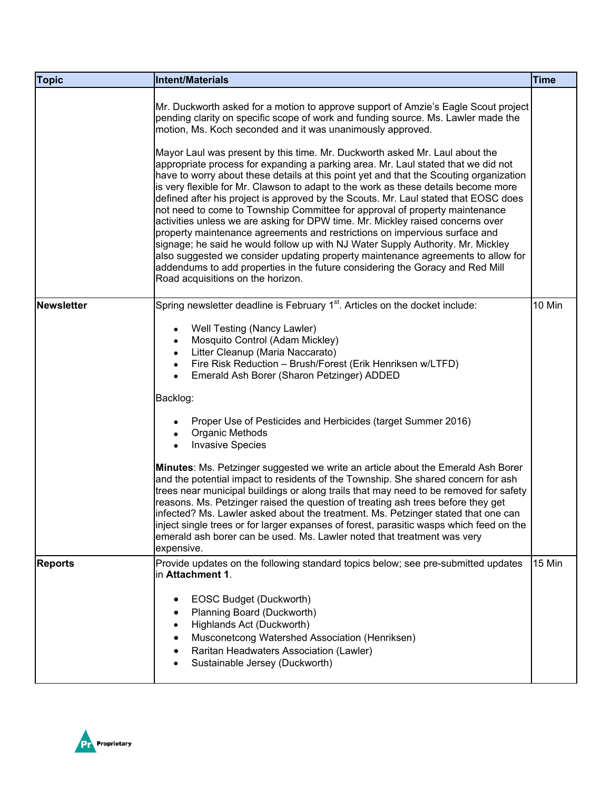| <b>Topic</b>      | <b>Intent/Materials</b>                                                                                                                                                                                                                                                                                                                                                                                                                                                                                                                                                                                                                                                                                                                                                                                                                                                                                                                                                                                                                                                                                                                                                                                                      | <b>Time</b> |
|-------------------|------------------------------------------------------------------------------------------------------------------------------------------------------------------------------------------------------------------------------------------------------------------------------------------------------------------------------------------------------------------------------------------------------------------------------------------------------------------------------------------------------------------------------------------------------------------------------------------------------------------------------------------------------------------------------------------------------------------------------------------------------------------------------------------------------------------------------------------------------------------------------------------------------------------------------------------------------------------------------------------------------------------------------------------------------------------------------------------------------------------------------------------------------------------------------------------------------------------------------|-------------|
|                   | Mr. Duckworth asked for a motion to approve support of Amzie's Eagle Scout project<br>pending clarity on specific scope of work and funding source. Ms. Lawler made the<br>motion, Ms. Koch seconded and it was unanimously approved.<br>Mayor Laul was present by this time. Mr. Duckworth asked Mr. Laul about the<br>appropriate process for expanding a parking area. Mr. Laul stated that we did not<br>have to worry about these details at this point yet and that the Scouting organization<br>is very flexible for Mr. Clawson to adapt to the work as these details become more<br>defined after his project is approved by the Scouts. Mr. Laul stated that EOSC does<br>not need to come to Township Committee for approval of property maintenance<br>activities unless we are asking for DPW time. Mr. Mickley raised concerns over<br>property maintenance agreements and restrictions on impervious surface and<br>signage; he said he would follow up with NJ Water Supply Authority. Mr. Mickley<br>also suggested we consider updating property maintenance agreements to allow for<br>addendums to add properties in the future considering the Goracy and Red Mill<br>Road acquisitions on the horizon. |             |
| <b>Newsletter</b> | Spring newsletter deadline is February 1 <sup>st</sup> . Articles on the docket include:<br>Well Testing (Nancy Lawler)<br>٠<br>Mosquito Control (Adam Mickley)<br>Litter Cleanup (Maria Naccarato)<br>Fire Risk Reduction - Brush/Forest (Erik Henriksen w/LTFD)<br>Emerald Ash Borer (Sharon Petzinger) ADDED<br>Backlog:<br>Proper Use of Pesticides and Herbicides (target Summer 2016)<br>Organic Methods<br><b>Invasive Species</b><br>Minutes: Ms. Petzinger suggested we write an article about the Emerald Ash Borer<br>and the potential impact to residents of the Township. She shared concern for ash<br>trees near municipal buildings or along trails that may need to be removed for safety<br>reasons. Ms. Petzinger raised the question of treating ash trees before they get<br>infected? Ms. Lawler asked about the treatment. Ms. Petzinger stated that one can<br>inject single trees or for larger expanses of forest, parasitic wasps which feed on the                                                                                                                                                                                                                                              | 10 Min      |
|                   | emerald ash borer can be used. Ms. Lawler noted that treatment was very<br>expensive.                                                                                                                                                                                                                                                                                                                                                                                                                                                                                                                                                                                                                                                                                                                                                                                                                                                                                                                                                                                                                                                                                                                                        |             |
| <b>Reports</b>    | Provide updates on the following standard topics below; see pre-submitted updates<br>in Attachment 1.<br>EOSC Budget (Duckworth)<br>٠<br>Planning Board (Duckworth)<br>Highlands Act (Duckworth)<br>$\bullet$<br>Musconetcong Watershed Association (Henriksen)<br>Raritan Headwaters Association (Lawler)<br>Sustainable Jersey (Duckworth)                                                                                                                                                                                                                                                                                                                                                                                                                                                                                                                                                                                                                                                                                                                                                                                                                                                                                 | 15 Min      |

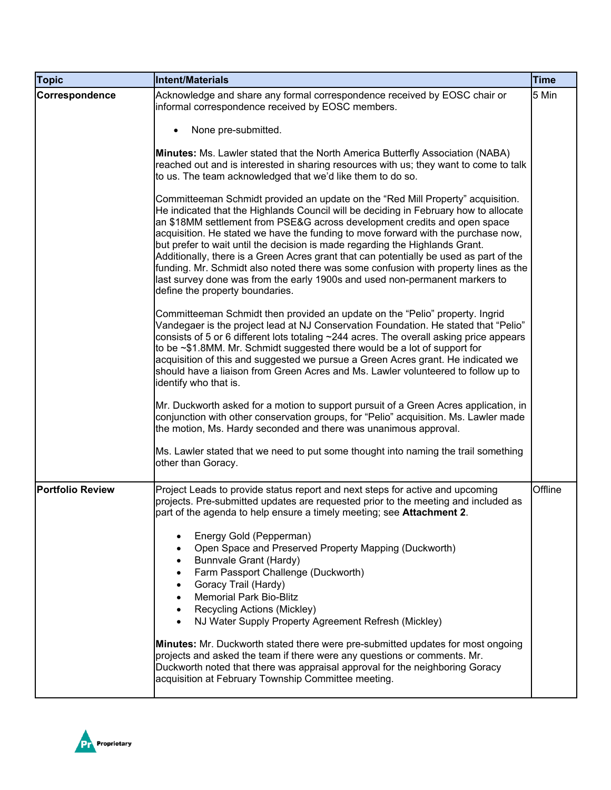| <b>Topic</b>            | <b>Intent/Materials</b>                                                                                                                                                                                                                                                                                                                                                                                                                                                                                                                                                                                                                                                                                                                                                                                                                                                                                                                                                                                                                                                                                                                                                                                                                                                                                                                                                                          | <b>Time</b> |
|-------------------------|--------------------------------------------------------------------------------------------------------------------------------------------------------------------------------------------------------------------------------------------------------------------------------------------------------------------------------------------------------------------------------------------------------------------------------------------------------------------------------------------------------------------------------------------------------------------------------------------------------------------------------------------------------------------------------------------------------------------------------------------------------------------------------------------------------------------------------------------------------------------------------------------------------------------------------------------------------------------------------------------------------------------------------------------------------------------------------------------------------------------------------------------------------------------------------------------------------------------------------------------------------------------------------------------------------------------------------------------------------------------------------------------------|-------------|
| Correspondence          | Acknowledge and share any formal correspondence received by EOSC chair or<br>informal correspondence received by EOSC members.<br>None pre-submitted.<br>Minutes: Ms. Lawler stated that the North America Butterfly Association (NABA)<br>reached out and is interested in sharing resources with us; they want to come to talk<br>to us. The team acknowledged that we'd like them to do so.<br>Committeeman Schmidt provided an update on the "Red Mill Property" acquisition.<br>He indicated that the Highlands Council will be deciding in February how to allocate<br>an \$18MM settlement from PSE&G across development credits and open space<br>acquisition. He stated we have the funding to move forward with the purchase now,<br>but prefer to wait until the decision is made regarding the Highlands Grant.<br>Additionally, there is a Green Acres grant that can potentially be used as part of the<br>funding. Mr. Schmidt also noted there was some confusion with property lines as the<br>last survey done was from the early 1900s and used non-permanent markers to<br>define the property boundaries.<br>Committeeman Schmidt then provided an update on the "Pelio" property. Ingrid<br>Vandegaer is the project lead at NJ Conservation Foundation. He stated that "Pelio"<br>consists of 5 or 6 different lots totaling ~244 acres. The overall asking price appears | 5 Min       |
|                         | to be $\sim$ \$1.8MM. Mr. Schmidt suggested there would be a lot of support for<br>acquisition of this and suggested we pursue a Green Acres grant. He indicated we<br>should have a liaison from Green Acres and Ms. Lawler volunteered to follow up to<br>identify who that is.<br>Mr. Duckworth asked for a motion to support pursuit of a Green Acres application, in<br>conjunction with other conservation groups, for "Pelio" acquisition. Ms. Lawler made<br>the motion, Ms. Hardy seconded and there was unanimous approval.<br>Ms. Lawler stated that we need to put some thought into naming the trail something<br>other than Goracy.                                                                                                                                                                                                                                                                                                                                                                                                                                                                                                                                                                                                                                                                                                                                                |             |
| <b>Portfolio Review</b> | Project Leads to provide status report and next steps for active and upcoming<br>projects. Pre-submitted updates are requested prior to the meeting and included as<br>part of the agenda to help ensure a timely meeting; see Attachment 2.<br>Energy Gold (Pepperman)<br>Open Space and Preserved Property Mapping (Duckworth)<br>Bunnvale Grant (Hardy)<br>Farm Passport Challenge (Duckworth)<br>Goracy Trail (Hardy)<br><b>Memorial Park Bio-Blitz</b><br>Recycling Actions (Mickley)<br>NJ Water Supply Property Agreement Refresh (Mickley)<br>Minutes: Mr. Duckworth stated there were pre-submitted updates for most ongoing<br>projects and asked the team if there were any questions or comments. Mr.<br>Duckworth noted that there was appraisal approval for the neighboring Goracy<br>acquisition at February Township Committee meeting.                                                                                                                                                                                                                                                                                                                                                                                                                                                                                                                                         | Offline     |